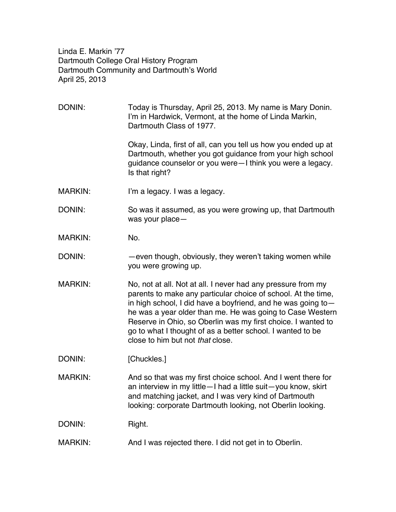Linda E. Markin '77 Dartmouth College Oral History Program Dartmouth Community and Dartmouth's World April 25, 2013

DONIN: Today is Thursday, April 25, 2013. My name is Mary Donin. I'm in Hardwick, Vermont, at the home of Linda Markin, Dartmouth Class of 1977. Okay, Linda, first of all, can you tell us how you ended up at Dartmouth, whether you got guidance from your high school guidance counselor or you were—I think you were a legacy. Is that right? MARKIN: I'm a legacy. I was a legacy. DONIN: So was it assumed, as you were growing up, that Dartmouth was your place— MARKIN: No. DONIN: — — — even though, obviously, they weren't taking women while you were growing up. MARKIN: No, not at all. Not at all. I never had any pressure from my parents to make any particular choice of school. At the time, in high school, I did have a boyfriend, and he was going to he was a year older than me. He was going to Case Western Reserve in Ohio, so Oberlin was my first choice. I wanted to go to what I thought of as a better school. I wanted to be close to him but not *that* close. DONIN: [Chuckles.] MARKIN: And so that was my first choice school. And I went there for an interview in my little—I had a little suit—you know, skirt and matching jacket, and I was very kind of Dartmouth looking: corporate Dartmouth looking, not Oberlin looking. DONIN: Right. MARKIN: And I was rejected there. I did not get in to Oberlin.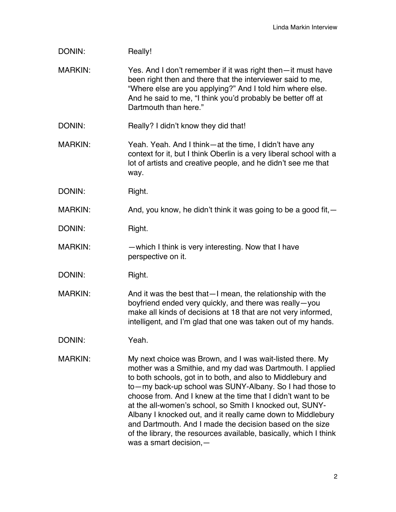| DONIN:         | Really!                                                                                                                                                                                                                                                                                                                                                                                                                                                                                                                                                                                                   |
|----------------|-----------------------------------------------------------------------------------------------------------------------------------------------------------------------------------------------------------------------------------------------------------------------------------------------------------------------------------------------------------------------------------------------------------------------------------------------------------------------------------------------------------------------------------------------------------------------------------------------------------|
| <b>MARKIN:</b> | Yes. And I don't remember if it was right then-it must have<br>been right then and there that the interviewer said to me,<br>"Where else are you applying?" And I told him where else.<br>And he said to me, "I think you'd probably be better off at<br>Dartmouth than here."                                                                                                                                                                                                                                                                                                                            |
| DONIN:         | Really? I didn't know they did that!                                                                                                                                                                                                                                                                                                                                                                                                                                                                                                                                                                      |
| <b>MARKIN:</b> | Yeah. Yeah. And I think—at the time, I didn't have any<br>context for it, but I think Oberlin is a very liberal school with a<br>lot of artists and creative people, and he didn't see me that<br>way.                                                                                                                                                                                                                                                                                                                                                                                                    |
| DONIN:         | Right.                                                                                                                                                                                                                                                                                                                                                                                                                                                                                                                                                                                                    |
| <b>MARKIN:</b> | And, you know, he didn't think it was going to be a good fit, -                                                                                                                                                                                                                                                                                                                                                                                                                                                                                                                                           |
| DONIN:         | Right.                                                                                                                                                                                                                                                                                                                                                                                                                                                                                                                                                                                                    |
| <b>MARKIN:</b> | -which I think is very interesting. Now that I have<br>perspective on it.                                                                                                                                                                                                                                                                                                                                                                                                                                                                                                                                 |
| DONIN:         | Right.                                                                                                                                                                                                                                                                                                                                                                                                                                                                                                                                                                                                    |
| <b>MARKIN:</b> | And it was the best that - I mean, the relationship with the<br>boyfriend ended very quickly, and there was really-you<br>make all kinds of decisions at 18 that are not very informed,<br>intelligent, and I'm glad that one was taken out of my hands.                                                                                                                                                                                                                                                                                                                                                  |
| DONIN:         | Yeah.                                                                                                                                                                                                                                                                                                                                                                                                                                                                                                                                                                                                     |
| <b>MARKIN:</b> | My next choice was Brown, and I was wait-listed there. My<br>mother was a Smithie, and my dad was Dartmouth. I applied<br>to both schools, got in to both, and also to Middlebury and<br>to—my back-up school was SUNY-Albany. So I had those to<br>choose from. And I knew at the time that I didn't want to be<br>at the all-women's school, so Smith I knocked out, SUNY-<br>Albany I knocked out, and it really came down to Middlebury<br>and Dartmouth. And I made the decision based on the size<br>of the library, the resources available, basically, which I think<br>was a smart decision, $-$ |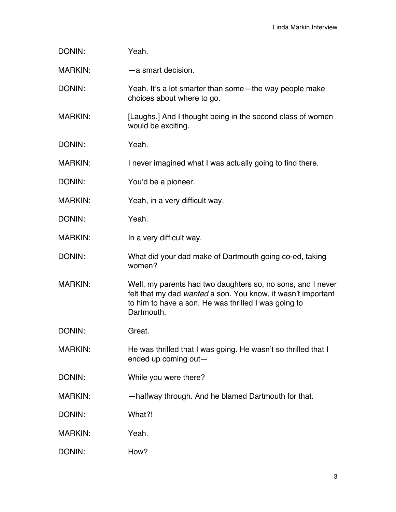| DONIN:         | Yeah.                                                                                                                                                                                             |
|----------------|---------------------------------------------------------------------------------------------------------------------------------------------------------------------------------------------------|
| <b>MARKIN:</b> | -a smart decision.                                                                                                                                                                                |
| DONIN:         | Yeah. It's a lot smarter than some—the way people make<br>choices about where to go.                                                                                                              |
| <b>MARKIN:</b> | [Laughs.] And I thought being in the second class of women<br>would be exciting.                                                                                                                  |
| DONIN:         | Yeah.                                                                                                                                                                                             |
| <b>MARKIN:</b> | I never imagined what I was actually going to find there.                                                                                                                                         |
| DONIN:         | You'd be a pioneer.                                                                                                                                                                               |
| <b>MARKIN:</b> | Yeah, in a very difficult way.                                                                                                                                                                    |
| DONIN:         | Yeah.                                                                                                                                                                                             |
| <b>MARKIN:</b> | In a very difficult way.                                                                                                                                                                          |
| DONIN:         | What did your dad make of Dartmouth going co-ed, taking<br>women?                                                                                                                                 |
| <b>MARKIN:</b> | Well, my parents had two daughters so, no sons, and I never<br>felt that my dad wanted a son. You know, it wasn't important<br>to him to have a son. He was thrilled I was going to<br>Dartmouth. |
| DONIN:         | Great.                                                                                                                                                                                            |
| <b>MARKIN:</b> | He was thrilled that I was going. He wasn't so thrilled that I<br>ended up coming out-                                                                                                            |
| DONIN:         | While you were there?                                                                                                                                                                             |
| <b>MARKIN:</b> | -halfway through. And he blamed Dartmouth for that.                                                                                                                                               |
| DONIN:         | What?!                                                                                                                                                                                            |
| <b>MARKIN:</b> | Yeah.                                                                                                                                                                                             |
| DONIN:         | How?                                                                                                                                                                                              |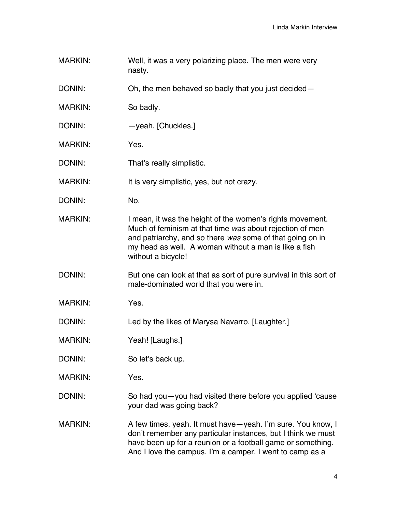MARKIN: Well, it was a very polarizing place. The men were very nasty.

DONIN: Oh, the men behaved so badly that you just decided—

- MARKIN: So badly.
- DONIN: veah. [Chuckles.]
- MARKIN: Yes.
- DONIN: That's really simplistic.
- MARKIN: It is very simplistic, yes, but not crazy.
- DONIN: No.
- MARKIN: I mean, it was the height of the women's rights movement. Much of feminism at that time *was* about rejection of men and patriarchy, and so there *was* some of that going on in my head as well. A woman without a man is like a fish without a bicycle!
- DONIN: But one can look at that as sort of pure survival in this sort of male-dominated world that you were in.
- MARKIN: Yes.
- DONIN: Led by the likes of Marysa Navarro. [Laughter.]
- MARKIN: Yeah! [Laughs.]
- DONIN: So let's back up.
- MARKIN: Yes.
- DONIN: So had you—you had visited there before you applied 'cause your dad was going back?
- MARKIN: A few times, yeah. It must have—yeah. I'm sure. You know, I don't remember any particular instances, but I think we must have been up for a reunion or a football game or something. And I love the campus. I'm a camper. I went to camp as a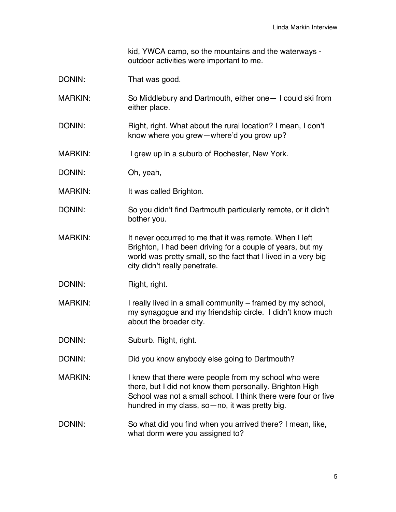kid, YWCA camp, so the mountains and the waterways outdoor activities were important to me.

- DONIN: That was good.
- MARKIN: So Middlebury and Dartmouth, either one— I could ski from either place.
- DONIN: Right, right. What about the rural location? I mean, I don't know where you grew—where'd you grow up?
- MARKIN: I grew up in a suburb of Rochester, New York.
- DONIN: Oh, yeah,
- MARKIN: It was called Brighton.
- DONIN: So you didn't find Dartmouth particularly remote, or it didn't bother you.
- MARKIN: It never occurred to me that it was remote. When I left Brighton, I had been driving for a couple of years, but my world was pretty small, so the fact that I lived in a very big city didn't really penetrate.
- DONIN: Right, right.
- MARKIN: I really lived in a small community framed by my school, my synagogue and my friendship circle. I didn't know much about the broader city.
- DONIN: Suburb. Right, right.
- DONIN: Did you know anybody else going to Dartmouth?
- MARKIN: I knew that there were people from my school who were there, but I did not know them personally. Brighton High School was not a small school. I think there were four or five hundred in my class, so—no, it was pretty big.
- DONIN: So what did you find when you arrived there? I mean, like, what dorm were you assigned to?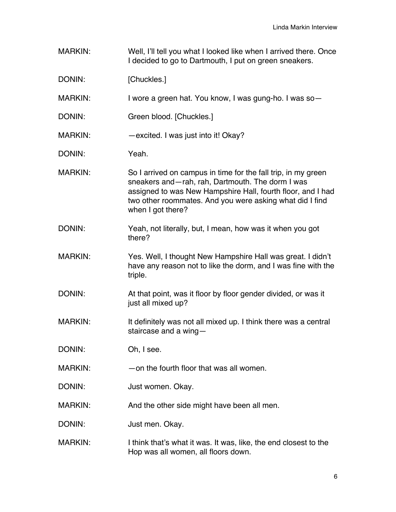| <b>MARKIN:</b> | Well, I'll tell you what I looked like when I arrived there. Once<br>I decided to go to Dartmouth, I put on green sneakers.                                                                                                                                       |
|----------------|-------------------------------------------------------------------------------------------------------------------------------------------------------------------------------------------------------------------------------------------------------------------|
| DONIN:         | [Chuckles.]                                                                                                                                                                                                                                                       |
| <b>MARKIN:</b> | I wore a green hat. You know, I was gung-ho. I was so-                                                                                                                                                                                                            |
| DONIN:         | Green blood. [Chuckles.]                                                                                                                                                                                                                                          |
| <b>MARKIN:</b> | -excited. I was just into it! Okay?                                                                                                                                                                                                                               |
| DONIN:         | Yeah.                                                                                                                                                                                                                                                             |
| <b>MARKIN:</b> | So I arrived on campus in time for the fall trip, in my green<br>sneakers and-rah, rah, Dartmouth. The dorm I was<br>assigned to was New Hampshire Hall, fourth floor, and I had<br>two other roommates. And you were asking what did I find<br>when I got there? |
| DONIN:         | Yeah, not literally, but, I mean, how was it when you got<br>there?                                                                                                                                                                                               |
| <b>MARKIN:</b> | Yes. Well, I thought New Hampshire Hall was great. I didn't<br>have any reason not to like the dorm, and I was fine with the<br>triple.                                                                                                                           |
| DONIN:         | At that point, was it floor by floor gender divided, or was it<br>just all mixed up?                                                                                                                                                                              |
| <b>MARKIN:</b> | It definitely was not all mixed up. I think there was a central<br>staircase and a wing-                                                                                                                                                                          |
| DONIN:         | Oh, I see.                                                                                                                                                                                                                                                        |
| <b>MARKIN:</b> | -on the fourth floor that was all women.                                                                                                                                                                                                                          |
| DONIN:         | Just women. Okay.                                                                                                                                                                                                                                                 |
| <b>MARKIN:</b> | And the other side might have been all men.                                                                                                                                                                                                                       |
| DONIN:         | Just men. Okay.                                                                                                                                                                                                                                                   |
| <b>MARKIN:</b> | I think that's what it was. It was, like, the end closest to the<br>Hop was all women, all floors down.                                                                                                                                                           |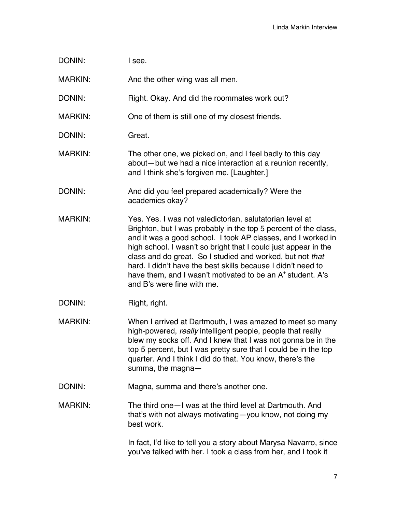| DONIN:         | I see.                                                                                                                                                                                                                                                                                                                                                                                                                                                                                     |
|----------------|--------------------------------------------------------------------------------------------------------------------------------------------------------------------------------------------------------------------------------------------------------------------------------------------------------------------------------------------------------------------------------------------------------------------------------------------------------------------------------------------|
| <b>MARKIN:</b> | And the other wing was all men.                                                                                                                                                                                                                                                                                                                                                                                                                                                            |
| DONIN:         | Right. Okay. And did the roommates work out?                                                                                                                                                                                                                                                                                                                                                                                                                                               |
| <b>MARKIN:</b> | One of them is still one of my closest friends.                                                                                                                                                                                                                                                                                                                                                                                                                                            |
| DONIN:         | Great.                                                                                                                                                                                                                                                                                                                                                                                                                                                                                     |
| <b>MARKIN:</b> | The other one, we picked on, and I feel badly to this day<br>about-but we had a nice interaction at a reunion recently,<br>and I think she's forgiven me. [Laughter.]                                                                                                                                                                                                                                                                                                                      |
| DONIN:         | And did you feel prepared academically? Were the<br>academics okay?                                                                                                                                                                                                                                                                                                                                                                                                                        |
| <b>MARKIN:</b> | Yes. Yes. I was not valedictorian, salutatorian level at<br>Brighton, but I was probably in the top 5 percent of the class,<br>and it was a good school. I took AP classes, and I worked in<br>high school. I wasn't so bright that I could just appear in the<br>class and do great. So I studied and worked, but not that<br>hard. I didn't have the best skills because I didn't need to<br>have them, and I wasn't motivated to be an $A^+$ student. A's<br>and B's were fine with me. |
| DONIN:         | Right, right.                                                                                                                                                                                                                                                                                                                                                                                                                                                                              |
| <b>MARKIN:</b> | When I arrived at Dartmouth, I was amazed to meet so many<br>high-powered, really intelligent people, people that really<br>blew my socks off. And I knew that I was not gonna be in the<br>top 5 percent, but I was pretty sure that I could be in the top<br>quarter. And I think I did do that. You know, there's the<br>summa, the magna $-$                                                                                                                                           |
| DONIN:         | Magna, summa and there's another one.                                                                                                                                                                                                                                                                                                                                                                                                                                                      |
| <b>MARKIN:</b> | The third one - I was at the third level at Dartmouth. And<br>that's with not always motivating—you know, not doing my<br>best work.                                                                                                                                                                                                                                                                                                                                                       |
|                | In fact, I'd like to tell you a story about Marysa Navarro, since<br>you've talked with her. I took a class from her, and I took it                                                                                                                                                                                                                                                                                                                                                        |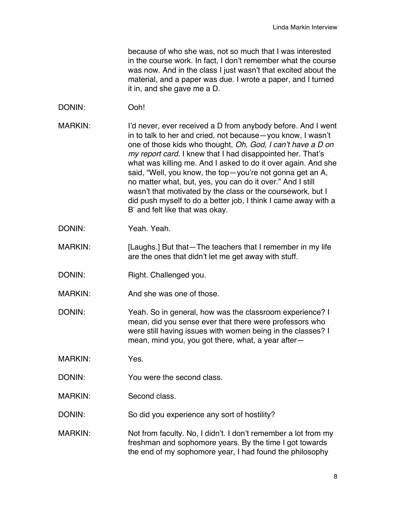because of who she was, not so much that I was interested in the course work. In fact, I don't remember what the course was now. And in the class I just wasn't that excited about the material, and a paper was due. I wrote a paper, and I turned it in, and she gave me a D.

- DONIN: Ooh!
- MARKIN: I'd never, ever received a D from anybody before. And I went in to talk to her and cried, not because—you know, I wasn't one of those kids who thought, *Oh, God, I can't have a D on my report card*. I knew that I had disappointed her. That's what was killing me. And I asked to do it over again. And she said, "Well, you know, the top—you're not gonna get an A, no matter what, but, yes, you can do it over." And I still wasn't that motivated by the class or the coursework, but I did push myself to do a better job, I think I came away with a B<sup>-</sup> and felt like that was okay.
- DONIN: Yeah. Yeah.
- MARKIN: [Laughs.] But that The teachers that I remember in my life are the ones that didn't let me get away with stuff.
- DONIN: Right. Challenged you.
- MARKIN: And she was one of those.
- DONIN: Yeah. So in general, how was the classroom experience? I mean, did you sense ever that there were professors who were still having issues with women being in the classes? I mean, mind you, you got there, what, a year after—
- MARKIN: Yes.
- DONIN: You were the second class.
- MARKIN: Second class.
- DONIN: So did you experience any sort of hostility?
- MARKIN: Not from faculty. No, I didn't. I don't remember a lot from my freshman and sophomore years. By the time I got towards the end of my sophomore year, I had found the philosophy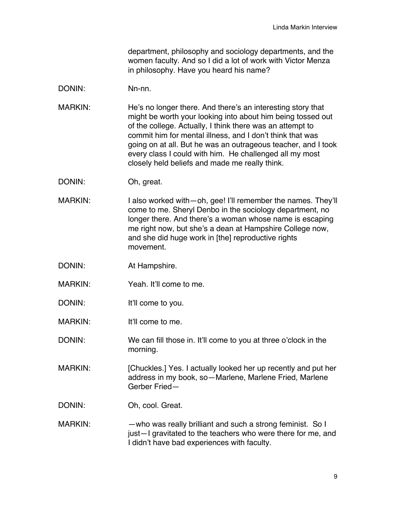department, philosophy and sociology departments, and the women faculty. And so I did a lot of work with Victor Menza in philosophy. Have you heard his name?

## DONIN: Nn-nn.

- MARKIN: He's no longer there. And there's an interesting story that might be worth your looking into about him being tossed out of the college. Actually, I think there was an attempt to commit him for mental illness, and I don't think that was going on at all. But he was an outrageous teacher, and I took every class I could with him. He challenged all my most closely held beliefs and made me really think.
- DONIN: Oh, great.
- MARKIN: I also worked with—oh, gee! I'll remember the names. They'll come to me. Sheryl Denbo in the sociology department, no longer there. And there's a woman whose name is escaping me right now, but she's a dean at Hampshire College now, and she did huge work in [the] reproductive rights movement.
- DONIN: At Hampshire.
- MARKIN: Yeah. It'll come to me.
- DONIN: It'll come to you.
- MARKIN: It'll come to me.
- DONIN: We can fill those in. It'll come to you at three o'clock in the morning.
- MARKIN: [Chuckles.] Yes. I actually looked her up recently and put her address in my book, so—Marlene, Marlene Fried, Marlene Gerber Fried—
- DONIN: Oh, cool. Great.
- MARKIN: — who was really brilliant and such a strong feminist. So I just—I gravitated to the teachers who were there for me, and I didn't have bad experiences with faculty.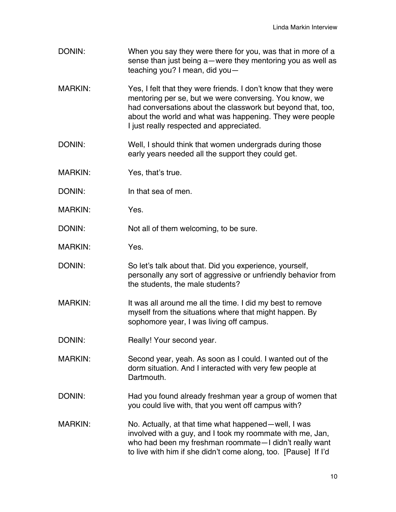- DONIN: When you say they were there for you, was that in more of a sense than just being a—were they mentoring you as well as teaching you? I mean, did you—
- MARKIN: Yes, I felt that they were friends. I don't know that they were mentoring per se, but we were conversing. You know, we had conversations about the classwork but beyond that, too, about the world and what was happening. They were people I just really respected and appreciated.
- DONIN: Well, I should think that women undergrads during those early years needed all the support they could get.
- MARKIN: Yes, that's true.
- DONIN: In that sea of men.
- MARKIN: Yes.
- DONIN: Not all of them welcoming, to be sure.
- MARKIN: Yes.
- DONIN: So let's talk about that. Did you experience, yourself, personally any sort of aggressive or unfriendly behavior from the students, the male students?
- MARKIN: It was all around me all the time. I did my best to remove myself from the situations where that might happen. By sophomore year, I was living off campus.
- DONIN: Really! Your second year.
- MARKIN: Second year, yeah. As soon as I could. I wanted out of the dorm situation. And I interacted with very few people at Dartmouth.
- DONIN: Had you found already freshman year a group of women that you could live with, that you went off campus with?
- MARKIN: No. Actually, at that time what happened—well, I was involved with a guy, and I took my roommate with me, Jan, who had been my freshman roommate—I didn't really want to live with him if she didn't come along, too. [Pause] If I'd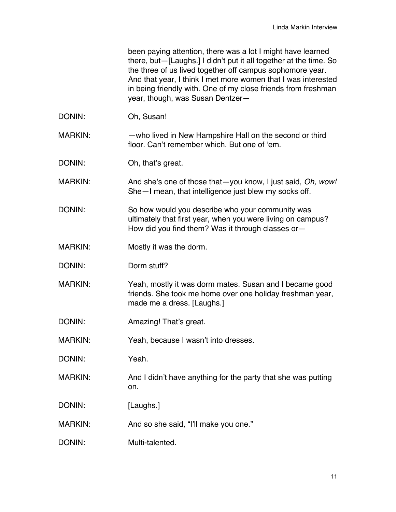been paying attention, there was a lot I might have learned there, but—[Laughs.] I didn't put it all together at the time. So the three of us lived together off campus sophomore year. And that year, I think I met more women that I was interested in being friendly with. One of my close friends from freshman year, though, was Susan Dentzer—

DONIN: Oh, Susan!

MARKIN: — who lived in New Hampshire Hall on the second or third floor. Can't remember which. But one of 'em.

DONIN: Oh, that's great.

MARKIN: And she's one of those that—you know, I just said, *Oh, wow!*  She—I mean, that intelligence just blew my socks off.

DONIN: So how would you describe who your community was ultimately that first year, when you were living on campus? How did you find them? Was it through classes or—

- MARKIN: Mostly it was the dorm.
- DONIN: Dorm stuff?
- MARKIN: Yeah, mostly it was dorm mates. Susan and I became good friends. She took me home over one holiday freshman year, made me a dress. [Laughs.]
- DONIN: Amazing! That's great.

MARKIN: Yeah, because I wasn't into dresses.

DONIN: Yeah.

- MARKIN: And I didn't have anything for the party that she was putting on.
- DONIN: [Laughs.]

MARKIN: And so she said, "I'll make you one."

DONIN: Multi-talented.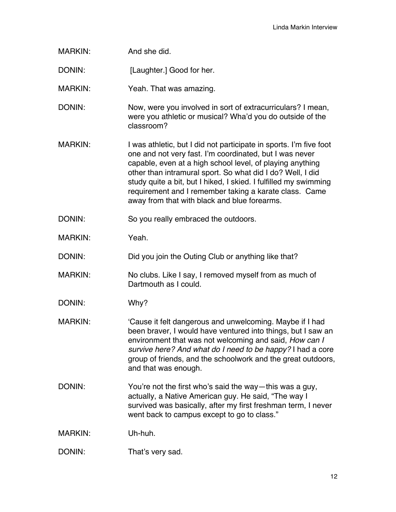| <b>MARKIN:</b> | And she did.                                                                                                                                                                                                                                                                                                                                                                                                                           |
|----------------|----------------------------------------------------------------------------------------------------------------------------------------------------------------------------------------------------------------------------------------------------------------------------------------------------------------------------------------------------------------------------------------------------------------------------------------|
| DONIN:         | [Laughter.] Good for her.                                                                                                                                                                                                                                                                                                                                                                                                              |
| <b>MARKIN:</b> | Yeah. That was amazing.                                                                                                                                                                                                                                                                                                                                                                                                                |
| DONIN:         | Now, were you involved in sort of extracurriculars? I mean,<br>were you athletic or musical? Wha'd you do outside of the<br>classroom?                                                                                                                                                                                                                                                                                                 |
| <b>MARKIN:</b> | I was athletic, but I did not participate in sports. I'm five foot<br>one and not very fast. I'm coordinated, but I was never<br>capable, even at a high school level, of playing anything<br>other than intramural sport. So what did I do? Well, I did<br>study quite a bit, but I hiked, I skied. I fulfilled my swimming<br>requirement and I remember taking a karate class. Came<br>away from that with black and blue forearms. |
| DONIN:         | So you really embraced the outdoors.                                                                                                                                                                                                                                                                                                                                                                                                   |
| <b>MARKIN:</b> | Yeah.                                                                                                                                                                                                                                                                                                                                                                                                                                  |
| DONIN:         | Did you join the Outing Club or anything like that?                                                                                                                                                                                                                                                                                                                                                                                    |
| <b>MARKIN:</b> | No clubs. Like I say, I removed myself from as much of<br>Dartmouth as I could.                                                                                                                                                                                                                                                                                                                                                        |
| DONIN:         | Why?                                                                                                                                                                                                                                                                                                                                                                                                                                   |
| <b>MARKIN:</b> | 'Cause it felt dangerous and unwelcoming. Maybe if I had<br>been braver, I would have ventured into things, but I saw an<br>environment that was not welcoming and said, How can I<br>survive here? And what do I need to be happy? I had a core<br>group of friends, and the schoolwork and the great outdoors,<br>and that was enough.                                                                                               |
| DONIN:         | You're not the first who's said the way—this was a guy,<br>actually, a Native American guy. He said, "The way I<br>survived was basically, after my first freshman term, I never<br>went back to campus except to go to class."                                                                                                                                                                                                        |
| <b>MARKIN:</b> | Uh-huh.                                                                                                                                                                                                                                                                                                                                                                                                                                |
| DONIN:         | That's very sad.                                                                                                                                                                                                                                                                                                                                                                                                                       |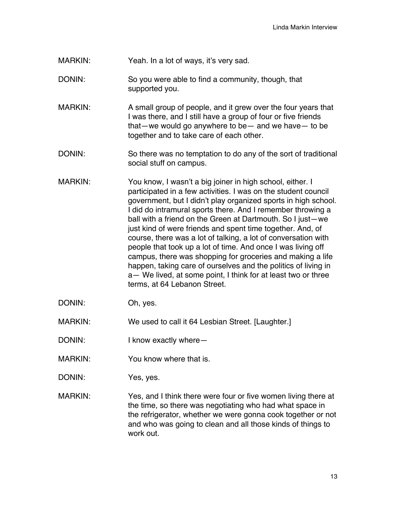MARKIN: Yeah. In a lot of ways, it's very sad.

- DONIN: So you were able to find a community, though, that supported you.
- MARKIN: A small group of people, and it grew over the four years that I was there, and I still have a group of four or five friends that—we would go anywhere to be— and we have— to be together and to take care of each other.
- DONIN: So there was no temptation to do any of the sort of traditional social stuff on campus.
- MARKIN: You know, I wasn't a big joiner in high school, either. I participated in a few activities. I was on the student council government, but I didn't play organized sports in high school. I did do intramural sports there. And I remember throwing a ball with a friend on the Green at Dartmouth. So I just—we just kind of were friends and spent time together. And, of course, there was a lot of talking, a lot of conversation with people that took up a lot of time. And once I was living off campus, there was shopping for groceries and making a life happen, taking care of ourselves and the politics of living in a— We lived, at some point, I think for at least two or three terms, at 64 Lebanon Street.
- DONIN: Oh, yes.

MARKIN: We used to call it 64 Lesbian Street. [Laughter.]

- DONIN: I know exactly where —
- MARKIN: You know where that is.
- DONIN: Yes, yes.
- MARKIN: Yes, and I think there were four or five women living there at the time, so there was negotiating who had what space in the refrigerator, whether we were gonna cook together or not and who was going to clean and all those kinds of things to work out.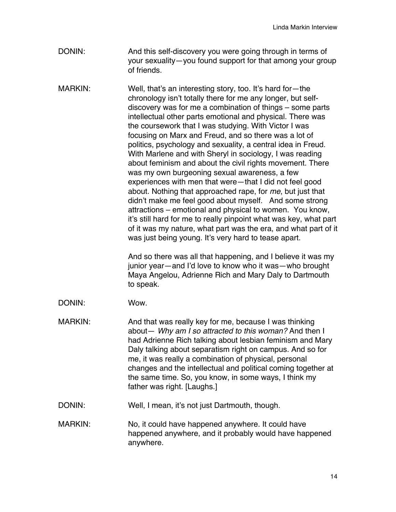- DONIN: And this self-discovery you were going through in terms of your sexuality—you found support for that among your group of friends.
- MARKIN: Well, that's an interesting story, too. It's hard for—the chronology isn't totally there for me any longer, but selfdiscovery was for me a combination of things – some parts intellectual other parts emotional and physical. There was the coursework that I was studying. With Victor I was focusing on Marx and Freud, and so there was a lot of politics, psychology and sexuality, a central idea in Freud. With Marlene and with Sheryl in sociology, I was reading about feminism and about the civil rights movement. There was my own burgeoning sexual awareness, a few experiences with men that were—that I did not feel good about. Nothing that approached rape, for *me*, but just that didn't make me feel good about myself. And some strong attractions – emotional and physical to women. You know, it's still hard for me to really pinpoint what was key, what part of it was my nature, what part was the era, and what part of it was just being young. It's very hard to tease apart.

And so there was all that happening, and I believe it was my junior year—and I'd love to know who it was—who brought Maya Angelou, Adrienne Rich and Mary Daly to Dartmouth to speak.

- DONIN: Wow.
- MARKIN: And that was really key for me, because I was thinking about— *Why am I so attracted to this woman?* And then I had Adrienne Rich talking about lesbian feminism and Mary Daly talking about separatism right on campus. And so for me, it was really a combination of physical, personal changes and the intellectual and political coming together at the same time. So, you know, in some ways, I think my father was right. [Laughs.]
- DONIN: Well, I mean, it's not just Dartmouth, though.
- MARKIN: No, it could have happened anywhere. It could have happened anywhere, and it probably would have happened anywhere.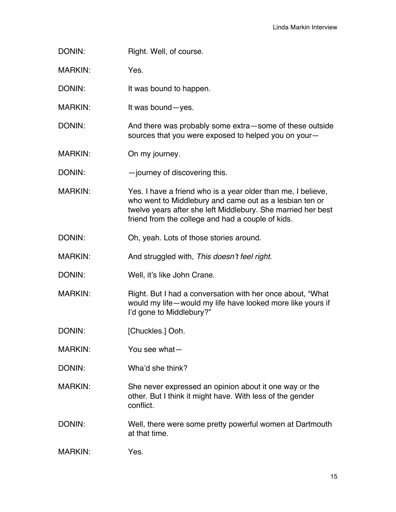DONIN: Right. Well, of course.

MARKIN: Yes.

DONIN: It was bound to happen.

MARKIN: It was bound-yes.

DONIN: And there was probably some extra—some of these outside sources that you were exposed to helped you on your—

MARKIN: On my journey.

DONIN: — — journey of discovering this.

- MARKIN: Yes. I have a friend who is a year older than me, I believe, who went to Middlebury and came out as a lesbian ten or twelve years after she left Middlebury. She married her best friend from the college and had a couple of kids.
- DONIN: Oh, yeah. Lots of those stories around.
- MARKIN: And struggled with, *This doesn't feel right*.
- DONIN: Well, it's like John Crane.
- MARKIN: Right. But I had a conversation with her once about, "What would my life—would my life have looked more like yours if I'd gone to Middlebury?"
- DONIN: [Chuckles.] Ooh.
- MARKIN: You see what—
- DONIN: Wha'd she think?
- MARKIN: She never expressed an opinion about it one way or the other. But I think it might have. With less of the gender conflict.
- DONIN: Well, there were some pretty powerful women at Dartmouth at that time.
- MARKIN: Yes.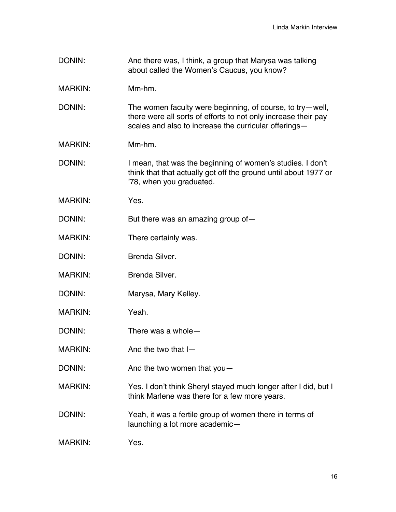- DONIN: And there was, I think, a group that Marysa was talking about called the Women's Caucus, you know?
- MARKIN: Mm-hm.
- DONIN: The women faculty were beginning, of course, to try-well, there were all sorts of efforts to not only increase their pay scales and also to increase the curricular offerings—
- MARKIN: Mm-hm.
- DONIN: I mean, that was the beginning of women's studies. I don't think that that actually got off the ground until about 1977 or '78, when you graduated.
- MARKIN: Yes.
- DONIN: But there was an amazing group of-
- MARKIN: There certainly was.
- DONIN: Brenda Silver.
- MARKIN: Brenda Silver.
- DONIN: Marysa, Mary Kelley.
- MARKIN: Yeah.
- DONIN: There was a whole—
- MARKIN: And the two that I-
- DONIN: And the two women that you-
- MARKIN: Yes. I don't think Sheryl stayed much longer after I did, but I think Marlene was there for a few more years.
- DONIN: Yeah, it was a fertile group of women there in terms of launching a lot more academic—
- MARKIN: Yes.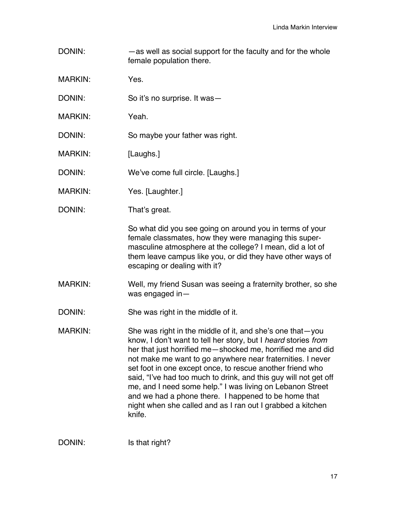- DONIN: — as well as social support for the faculty and for the whole female population there.
- MARKIN: Yes.
- DONIN: So it's no surprise. It was—
- MARKIN: Yeah.
- DONIN: So maybe your father was right.
- MARKIN: [Laughs.]
- DONIN: We've come full circle. [Laughs.]
- MARKIN: Yes. [Laughter.]
- DONIN: That's great.

So what did you see going on around you in terms of your female classmates, how they were managing this supermasculine atmosphere at the college? I mean, did a lot of them leave campus like you, or did they have other ways of escaping or dealing with it?

- MARKIN: Well, my friend Susan was seeing a fraternity brother, so she was engaged in—
- DONIN: She was right in the middle of it.
- MARKIN: She was right in the middle of it, and she's one that-you know, I don't want to tell her story, but I *heard* stories *from* her that just horrified me—shocked me, horrified me and did not make me want to go anywhere near fraternities. I never set foot in one except once, to rescue another friend who said, "I've had too much to drink, and this guy will not get off me, and I need some help." I was living on Lebanon Street and we had a phone there. I happened to be home that night when she called and as I ran out I grabbed a kitchen knife.

DONIN: Is that right?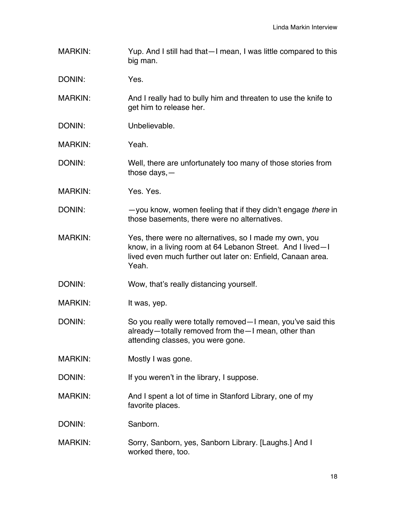- MARKIN: Yup. And I still had that—I mean, I was little compared to this big man.
- DONIN: Yes.
- MARKIN: And I really had to bully him and threaten to use the knife to get him to release her.
- DONIN: Unbelievable.
- MARKIN: Yeah.
- DONIN: Well, there are unfortunately too many of those stories from those days,—
- MARKIN: Yes. Yes.
- DONIN: —you know, women feeling that if they didn't engage *there* in those basements, there were no alternatives.
- MARKIN: Yes, there were no alternatives, so I made my own, you know, in a living room at 64 Lebanon Street. And I lived—I lived even much further out later on: Enfield, Canaan area. Yeah.
- DONIN: Wow, that's really distancing yourself.
- MARKIN: It was, yep.
- DONIN: So you really were totally removed—I mean, you've said this already—totally removed from the—I mean, other than attending classes, you were gone.
- MARKIN: Mostly I was gone.
- DONIN: If you weren't in the library, I suppose.
- MARKIN: And I spent a lot of time in Stanford Library, one of my favorite places.
- DONIN: Sanborn.
- MARKIN: Sorry, Sanborn, yes, Sanborn Library. [Laughs.] And I worked there, too.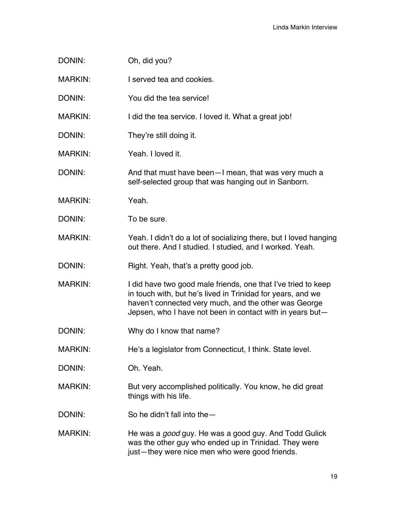| DONIN:         | Oh, did you?                                                                                                                                                                                                                                       |
|----------------|----------------------------------------------------------------------------------------------------------------------------------------------------------------------------------------------------------------------------------------------------|
| <b>MARKIN:</b> | I served tea and cookies.                                                                                                                                                                                                                          |
| DONIN:         | You did the tea service!                                                                                                                                                                                                                           |
| <b>MARKIN:</b> | I did the tea service. I loved it. What a great job!                                                                                                                                                                                               |
| DONIN:         | They're still doing it.                                                                                                                                                                                                                            |
| <b>MARKIN:</b> | Yeah. I loved it.                                                                                                                                                                                                                                  |
| DONIN:         | And that must have been - I mean, that was very much a<br>self-selected group that was hanging out in Sanborn.                                                                                                                                     |
| <b>MARKIN:</b> | Yeah.                                                                                                                                                                                                                                              |
| DONIN:         | To be sure.                                                                                                                                                                                                                                        |
| <b>MARKIN:</b> | Yeah. I didn't do a lot of socializing there, but I loved hanging<br>out there. And I studied. I studied, and I worked. Yeah.                                                                                                                      |
| DONIN:         | Right. Yeah, that's a pretty good job.                                                                                                                                                                                                             |
| <b>MARKIN:</b> | I did have two good male friends, one that I've tried to keep<br>in touch with, but he's lived in Trinidad for years, and we<br>haven't connected very much, and the other was George<br>Jepsen, who I have not been in contact with in years but- |
| DONIN:         | Why do I know that name?                                                                                                                                                                                                                           |
| <b>MARKIN:</b> | He's a legislator from Connecticut, I think. State level.                                                                                                                                                                                          |
| DONIN:         | Oh. Yeah.                                                                                                                                                                                                                                          |
| <b>MARKIN:</b> | But very accomplished politically. You know, he did great<br>things with his life.                                                                                                                                                                 |
| DONIN:         | So he didn't fall into the -                                                                                                                                                                                                                       |
| <b>MARKIN:</b> | He was a <i>good</i> guy. He was a good guy. And Todd Gulick<br>was the other guy who ended up in Trinidad. They were<br>just-they were nice men who were good friends.                                                                            |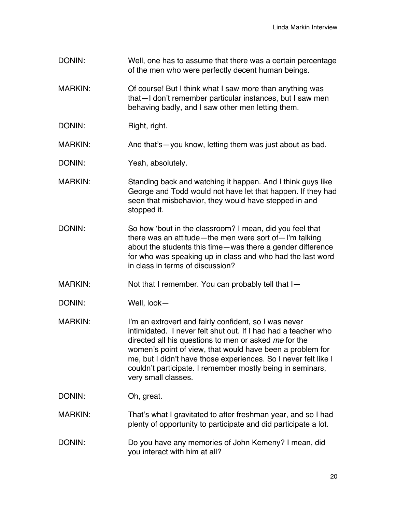DONIN: Well, one has to assume that there was a certain percentage of the men who were perfectly decent human beings. MARKIN: Of course! But I think what I saw more than anything was that—I don't remember particular instances, but I saw men behaving badly, and I saw other men letting them. DONIN: Right, right. MARKIN: And that's—you know, letting them was just about as bad. DONIN: Yeah, absolutely. MARKIN: Standing back and watching it happen. And I think guys like George and Todd would not have let that happen. If they had seen that misbehavior, they would have stepped in and stopped it. DONIN: So how 'bout in the classroom? I mean, did you feel that there was an attitude—the men were sort of—I'm talking about the students this time—was there a gender difference for who was speaking up in class and who had the last word in class in terms of discussion? MARKIN: Not that I remember. You can probably tell that I-DONIN: Well, look— MARKIN: I'm an extrovert and fairly confident, so I was never intimidated. I never felt shut out. If I had had a teacher who directed all his questions to men or asked *me* for the women's point of view, that would have been a problem for me, but I didn't have those experiences. So I never felt like I couldn't participate. I remember mostly being in seminars, very small classes. DONIN: Oh, great. MARKIN: That's what I gravitated to after freshman year, and so I had plenty of opportunity to participate and did participate a lot. DONIN: Do you have any memories of John Kemeny? I mean, did you interact with him at all?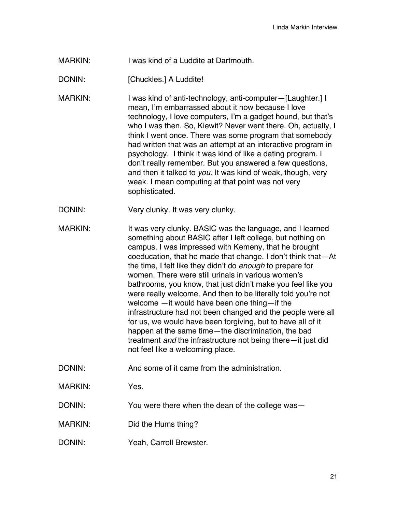MARKIN: I was kind of a Luddite at Dartmouth.

DONIN: [Chuckles.] A Luddite!

- MARKIN: I was kind of anti-technology, anti-computer-[Laughter.] I mean, I'm embarrassed about it now because I love technology, I love computers, I'm a gadget hound, but that's who I was then. So, Kiewit? Never went there. Oh, actually, I think I went once. There was some program that somebody had written that was an attempt at an interactive program in psychology. I think it was kind of like a dating program. I don't really remember. But you answered a few questions, and then it talked to *you*. It was kind of weak, though, very weak. I mean computing at that point was not very sophisticated.
- DONIN: Very clunky. It was very clunky.
- MARKIN: It was very clunky. BASIC was the language, and I learned something about BASIC after I left college, but nothing on campus. I was impressed with Kemeny, that he brought coeducation, that he made that change. I don't think that—At the time, I felt like they didn't do *enough* to prepare for women. There were still urinals in various women's bathrooms, you know, that just didn't make you feel like you were really welcome. And then to be literally told you're not welcome —it would have been one thing—if the infrastructure had not been changed and the people were all for us, we would have been forgiving, but to have all of it happen at the same time—the discrimination, the bad treatment *and* the infrastructure not being there—it just did not feel like a welcoming place.
- DONIN: And some of it came from the administration.
- MARKIN: Yes.
- DONIN: You were there when the dean of the college was—
- MARKIN: Did the Hums thing?
- DONIN: Yeah, Carroll Brewster.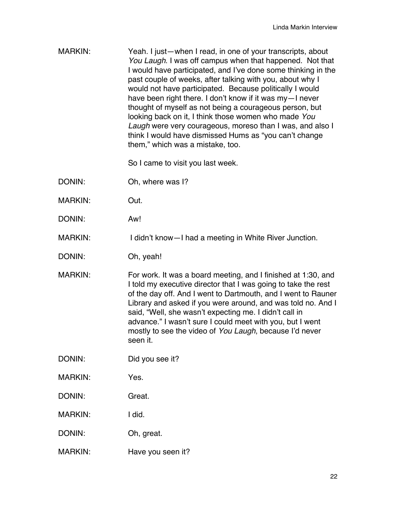MARKIN: Yeah. I just—when I read, in one of your transcripts, about *You Laugh*. I was off campus when that happened. Not that I would have participated, and I've done some thinking in the past couple of weeks, after talking with you, about why I would not have participated. Because politically I would have been right there. I don't know if it was my—I never thought of myself as not being a courageous person, but looking back on it, I think those women who made *You Laugh* were very courageous, moreso than I was, and also I think I would have dismissed Hums as "you can't change them," which was a mistake, too.

So I came to visit you last week.

- DONIN: Oh, where was I?
- MARKIN: Out.
- DONIN: Aw!
- MARKIN: I didn't know—I had a meeting in White River Junction.
- DONIN: Oh, yeah!
- MARKIN: For work. It was a board meeting, and I finished at 1:30, and I told my executive director that I was going to take the rest of the day off. And I went to Dartmouth, and I went to Rauner Library and asked if you were around, and was told no. And I said, "Well, she wasn't expecting me. I didn't call in advance." I wasn't sure I could meet with you, but I went mostly to see the video of *You Laugh*, because I'd never seen it.
- DONIN: Did you see it?
- MARKIN: Yes.
- DONIN: Great.
- MARKIN: I did.
- DONIN: Oh, great.
- MARKIN: Have you seen it?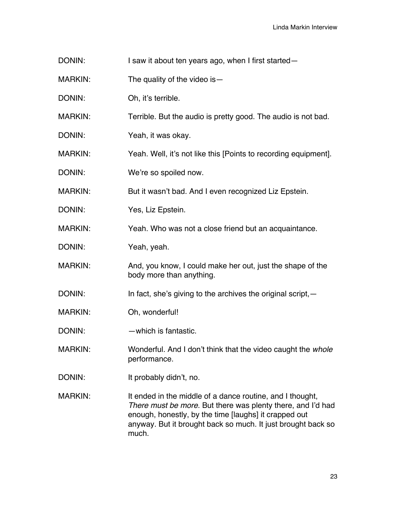- DONIN: I saw it about ten years ago, when I first started—
- MARKIN: The quality of the video is -
- DONIN: Oh, it's terrible.

MARKIN: Terrible. But the audio is pretty good. The audio is not bad.

- DONIN: Yeah, it was okay.
- MARKIN: Yeah. Well, it's not like this [Points to recording equipment].
- DONIN: We're so spoiled now.
- MARKIN: But it wasn't bad. And I even recognized Liz Epstein.
- DONIN: Yes, Liz Epstein.
- MARKIN: Yeah. Who was not a close friend but an acquaintance.
- DONIN: Yeah, yeah.
- MARKIN: And, you know, I could make her out, just the shape of the body more than anything.
- DONIN: In fact, she's giving to the archives the original script, -
- MARKIN: Oh, wonderful!
- DONIN: —which is fantastic.
- MARKIN: Wonderful. And I don't think that the video caught the *whole* performance.
- DONIN: It probably didn't, no.
- MARKIN: It ended in the middle of a dance routine, and I thought, *There must be more*. But there was plenty there, and I'd had enough, honestly, by the time [laughs] it crapped out anyway. But it brought back so much. It just brought back so much.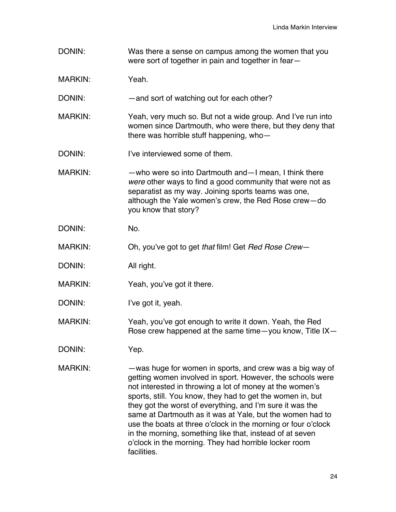- DONIN: Was there a sense on campus among the women that you were sort of together in pain and together in fear—
- MARKIN: Yeah.
- DONIN: and sort of watching out for each other?
- MARKIN: Yeah, very much so. But not a wide group. And I've run into women since Dartmouth, who were there, but they deny that there was horrible stuff happening, who—
- DONIN: I've interviewed some of them.
- MARKIN: —who were so into Dartmouth and—I mean, I think there *were* other ways to find a good community that were not as separatist as my way. Joining sports teams was one, although the Yale women's crew, the Red Rose crew—do you know that story?
- DONIN: No.
- MARKIN: Oh, you've got to get *that* film! Get *Red Rose Crew*—
- DONIN: All right.
- MARKIN: Yeah, you've got it there.
- DONIN: I've got it, yeah.
- MARKIN: Yeah, you've got enough to write it down. Yeah, the Red Rose crew happened at the same time—you know, Title IX—
- DONIN: Yep.
- MARKIN: — was huge for women in sports, and crew was a big way of getting women involved in sport. However, the schools were not interested in throwing a lot of money at the women's sports, still. You know, they had to get the women in, but they got the worst of everything, and I'm sure it was the same at Dartmouth as it was at Yale, but the women had to use the boats at three o'clock in the morning or four o'clock in the morning, something like that, instead of at seven o'clock in the morning. They had horrible locker room facilities.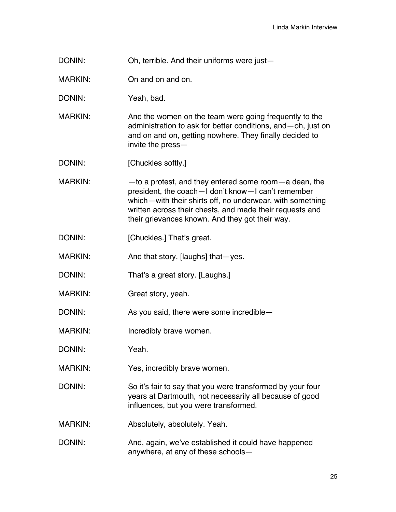DONIN: Oh, terrible. And their uniforms were just-

MARKIN: On and on and on.

DONIN: Yeah, bad.

MARKIN: And the women on the team were going frequently to the administration to ask for better conditions, and—oh, just on and on and on, getting nowhere. They finally decided to invite the press—

DONIN: [Chuckles softly.]

MARKIN: —to a protest, and they entered some room—a dean, the president, the coach—I don't know—I can't remember which—with their shirts off, no underwear, with something written across their chests, and made their requests and their grievances known. And they got their way.

- DONIN: [Chuckles.] That's great.
- MARKIN: And that story, [laughs] that yes.
- DONIN: That's a great story. [Laughs.]
- MARKIN: Great story, yeah.

DONIN: As you said, there were some incredible—

MARKIN: Incredibly brave women.

DONIN: Yeah.

MARKIN: Yes, incredibly brave women.

DONIN: So it's fair to say that you were transformed by your four years at Dartmouth, not necessarily all because of good influences, but you were transformed.

- MARKIN: Absolutely, absolutely. Yeah.
- DONIN: And, again, we've established it could have happened anywhere, at any of these schools—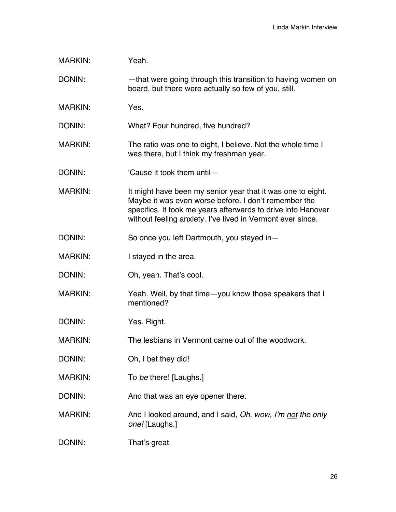| <b>MARKIN:</b> | Yeah.                                                                                                                                                                                                                                             |
|----------------|---------------------------------------------------------------------------------------------------------------------------------------------------------------------------------------------------------------------------------------------------|
| DONIN:         | -that were going through this transition to having women on<br>board, but there were actually so few of you, still.                                                                                                                               |
| <b>MARKIN:</b> | Yes.                                                                                                                                                                                                                                              |
| DONIN:         | What? Four hundred, five hundred?                                                                                                                                                                                                                 |
| <b>MARKIN:</b> | The ratio was one to eight, I believe. Not the whole time I<br>was there, but I think my freshman year.                                                                                                                                           |
| DONIN:         | 'Cause it took them until-                                                                                                                                                                                                                        |
| <b>MARKIN:</b> | It might have been my senior year that it was one to eight.<br>Maybe it was even worse before. I don't remember the<br>specifics. It took me years afterwards to drive into Hanover<br>without feeling anxiety. I've lived in Vermont ever since. |
| DONIN:         | So once you left Dartmouth, you stayed in-                                                                                                                                                                                                        |
| <b>MARKIN:</b> | I stayed in the area.                                                                                                                                                                                                                             |
| DONIN:         | Oh, yeah. That's cool.                                                                                                                                                                                                                            |
| <b>MARKIN:</b> | Yeah. Well, by that time-you know those speakers that I<br>mentioned?                                                                                                                                                                             |
| DONIN:         | Yes. Right.                                                                                                                                                                                                                                       |
| <b>MARKIN:</b> | The lesbians in Vermont came out of the woodwork.                                                                                                                                                                                                 |
| DONIN:         | Oh, I bet they did!                                                                                                                                                                                                                               |
| <b>MARKIN:</b> | To be there! [Laughs.]                                                                                                                                                                                                                            |
| DONIN:         | And that was an eye opener there.                                                                                                                                                                                                                 |
| <b>MARKIN:</b> | And I looked around, and I said, Oh, wow, I'm not the only<br>one! [Laughs.]                                                                                                                                                                      |
| DONIN:         | That's great.                                                                                                                                                                                                                                     |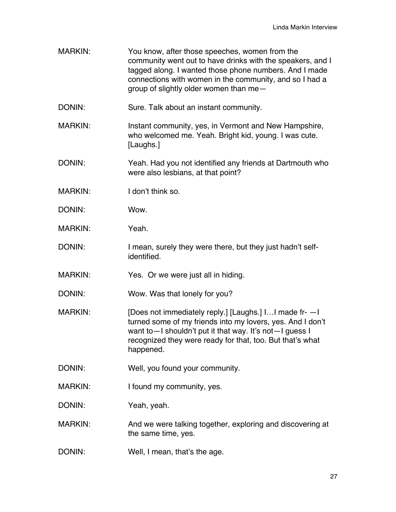| <b>MARKIN:</b> | You know, after those speeches, women from the<br>community went out to have drinks with the speakers, and I<br>tagged along. I wanted those phone numbers. And I made<br>connections with women in the community, and so I had a<br>group of slightly older women than me- |
|----------------|-----------------------------------------------------------------------------------------------------------------------------------------------------------------------------------------------------------------------------------------------------------------------------|
| DONIN:         | Sure. Talk about an instant community.                                                                                                                                                                                                                                      |
| <b>MARKIN:</b> | Instant community, yes, in Vermont and New Hampshire,<br>who welcomed me. Yeah. Bright kid, young. I was cute.<br>[Laughs.]                                                                                                                                                 |
| DONIN:         | Yeah. Had you not identified any friends at Dartmouth who<br>were also lesbians, at that point?                                                                                                                                                                             |
| <b>MARKIN:</b> | I don't think so.                                                                                                                                                                                                                                                           |
| DONIN:         | Wow.                                                                                                                                                                                                                                                                        |
| <b>MARKIN:</b> | Yeah.                                                                                                                                                                                                                                                                       |
| DONIN:         | I mean, surely they were there, but they just hadn't self-<br>identified.                                                                                                                                                                                                   |
| <b>MARKIN:</b> | Yes. Or we were just all in hiding.                                                                                                                                                                                                                                         |
| DONIN:         | Wow. Was that lonely for you?                                                                                                                                                                                                                                               |
| <b>MARKIN:</b> | [Does not immediately reply.] [Laughs.] I I made fr- - I<br>turned some of my friends into my lovers, yes. And I don't<br>want to - I shouldn't put it that way. It's not - I guess I<br>recognized they were ready for that, too. But that's what<br>happened.             |
| DONIN:         | Well, you found your community.                                                                                                                                                                                                                                             |
| <b>MARKIN:</b> | I found my community, yes.                                                                                                                                                                                                                                                  |
| DONIN:         | Yeah, yeah.                                                                                                                                                                                                                                                                 |
| <b>MARKIN:</b> | And we were talking together, exploring and discovering at<br>the same time, yes.                                                                                                                                                                                           |
| DONIN:         | Well, I mean, that's the age.                                                                                                                                                                                                                                               |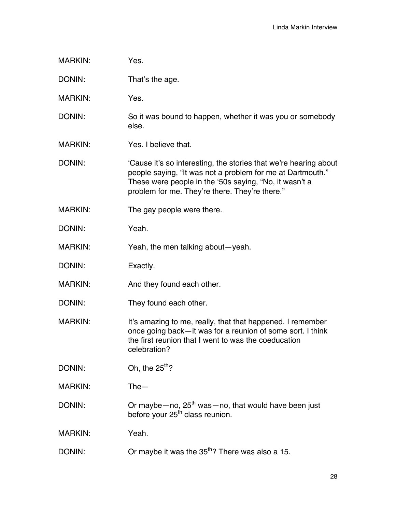| <b>MARKIN:</b> | Yes.                                                                                                                                                                                                                                       |
|----------------|--------------------------------------------------------------------------------------------------------------------------------------------------------------------------------------------------------------------------------------------|
| DONIN:         | That's the age.                                                                                                                                                                                                                            |
| <b>MARKIN:</b> | Yes.                                                                                                                                                                                                                                       |
| DONIN:         | So it was bound to happen, whether it was you or somebody<br>else.                                                                                                                                                                         |
| <b>MARKIN:</b> | Yes. I believe that.                                                                                                                                                                                                                       |
| DONIN:         | 'Cause it's so interesting, the stories that we're hearing about<br>people saying, "It was not a problem for me at Dartmouth."<br>These were people in the '50s saying, "No, it wasn't a<br>problem for me. They're there. They're there." |
| <b>MARKIN:</b> | The gay people were there.                                                                                                                                                                                                                 |
| DONIN:         | Yeah.                                                                                                                                                                                                                                      |
| <b>MARKIN:</b> | Yeah, the men talking about-yeah.                                                                                                                                                                                                          |
| DONIN:         | Exactly.                                                                                                                                                                                                                                   |
| <b>MARKIN:</b> | And they found each other.                                                                                                                                                                                                                 |
| DONIN:         | They found each other.                                                                                                                                                                                                                     |
| <b>MARKIN:</b> | It's amazing to me, really, that that happened. I remember<br>once going back—it was for a reunion of some sort. I think<br>the first reunion that I went to was the coeducation<br>celebration?                                           |
| DONIN:         | Oh, the $25^{th}$ ?                                                                                                                                                                                                                        |
| <b>MARKIN:</b> | $The -$                                                                                                                                                                                                                                    |
| DONIN:         | Or maybe-no, 25 <sup>th</sup> was-no, that would have been just<br>before your 25 <sup>th</sup> class reunion.                                                                                                                             |
| <b>MARKIN:</b> | Yeah.                                                                                                                                                                                                                                      |
| DONIN:         | Or maybe it was the 35 <sup>th</sup> ? There was also a 15.                                                                                                                                                                                |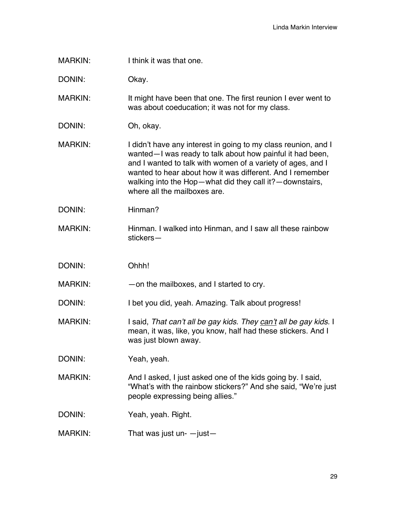| MARKIN: |
|---------|
|         |

DONIN: Okay.

MARKIN: It might have been that one. The first reunion I ever went to was about coeducation; it was not for my class.

DONIN: Oh, okay.

MARKIN: I didn't have any interest in going to my class reunion, and I wanted—I was ready to talk about how painful it had been, and I wanted to talk with women of a variety of ages, and I wanted to hear about how it was different. And I remember walking into the Hop—what did they call it?—downstairs, where all the mailboxes are.

- DONIN: Hinman?
- MARKIN: Hinman. I walked into Hinman, and I saw all these rainbow stickers—
- DONIN: Ohhh!

MARKIN: — — on the mailboxes, and I started to cry.

DONIN: I bet you did, yeah. Amazing. Talk about progress!

MARKIN: I said, *That can't all be gay kids. They can't all be gay kids.* I mean, it was, like, you know, half had these stickers. And I was just blown away.

DONIN: Yeah, yeah.

MARKIN: And I asked, I just asked one of the kids going by. I said, "What's with the rainbow stickers?" And she said, "We're just people expressing being allies."

DONIN: Yeah, yeah. Right.

 $MARKIN:$  That was just un-  $-$  just  $-$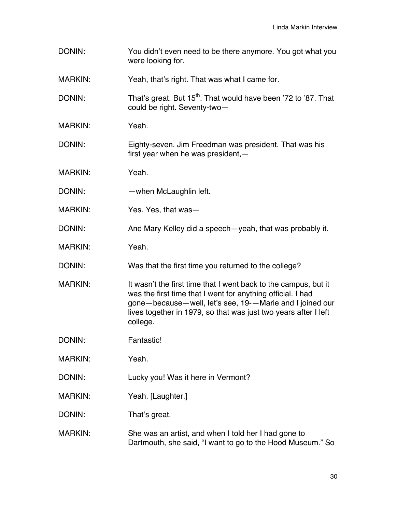| DONIN:         | You didn't even need to be there anymore. You got what you<br>were looking for.                                                                                                                                                                                           |
|----------------|---------------------------------------------------------------------------------------------------------------------------------------------------------------------------------------------------------------------------------------------------------------------------|
| <b>MARKIN:</b> | Yeah, that's right. That was what I came for.                                                                                                                                                                                                                             |
| DONIN:         | That's great. But 15 <sup>th</sup> . That would have been '72 to '87. That<br>could be right. Seventy-two-                                                                                                                                                                |
| <b>MARKIN:</b> | Yeah.                                                                                                                                                                                                                                                                     |
| DONIN:         | Eighty-seven. Jim Freedman was president. That was his<br>first year when he was president, $-$                                                                                                                                                                           |
| <b>MARKIN:</b> | Yeah.                                                                                                                                                                                                                                                                     |
| DONIN:         | -when McLaughlin left.                                                                                                                                                                                                                                                    |
| <b>MARKIN:</b> | Yes. Yes, that was-                                                                                                                                                                                                                                                       |
| DONIN:         | And Mary Kelley did a speech-yeah, that was probably it.                                                                                                                                                                                                                  |
| <b>MARKIN:</b> | Yeah.                                                                                                                                                                                                                                                                     |
| DONIN:         | Was that the first time you returned to the college?                                                                                                                                                                                                                      |
| <b>MARKIN:</b> | It wasn't the first time that I went back to the campus, but it<br>was the first time that I went for anything official. I had<br>gone-because-well, let's see, 19--Marie and I joined our<br>lives together in 1979, so that was just two years after I left<br>college. |
| DONIN:         | Fantastic!                                                                                                                                                                                                                                                                |
| <b>MARKIN:</b> | Yeah.                                                                                                                                                                                                                                                                     |
| DONIN:         | Lucky you! Was it here in Vermont?                                                                                                                                                                                                                                        |
| <b>MARKIN:</b> | Yeah. [Laughter.]                                                                                                                                                                                                                                                         |
| DONIN:         | That's great.                                                                                                                                                                                                                                                             |
| <b>MARKIN:</b> | She was an artist, and when I told her I had gone to<br>Dartmouth, she said, "I want to go to the Hood Museum." So                                                                                                                                                        |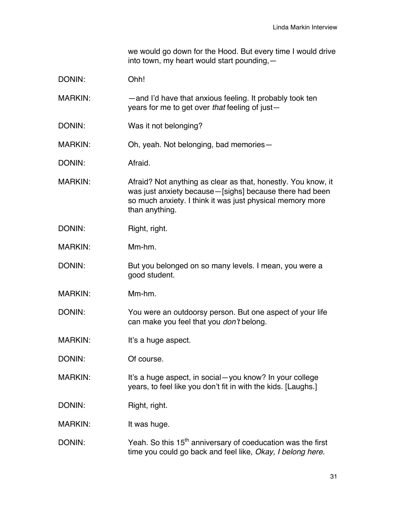we would go down for the Hood. But every time I would drive into town, my heart would start pounding,—

| DONIN:         | Ohh!                                                                                                                                                                                                      |
|----------------|-----------------------------------------------------------------------------------------------------------------------------------------------------------------------------------------------------------|
| <b>MARKIN:</b> | -and I'd have that anxious feeling. It probably took ten<br>years for me to get over that feeling of just-                                                                                                |
| DONIN:         | Was it not belonging?                                                                                                                                                                                     |
| MARKIN:        | Oh, yeah. Not belonging, bad memories-                                                                                                                                                                    |
| DONIN:         | Afraid.                                                                                                                                                                                                   |
| <b>MARKIN:</b> | Afraid? Not anything as clear as that, honestly. You know, it<br>was just anxiety because - [sighs] because there had been<br>so much anxiety. I think it was just physical memory more<br>than anything. |
| DONIN:         | Right, right.                                                                                                                                                                                             |
| <b>MARKIN:</b> | Mm-hm.                                                                                                                                                                                                    |
| DONIN:         | But you belonged on so many levels. I mean, you were a<br>good student.                                                                                                                                   |

MARKIN: Mm-hm.

DONIN: You were an outdoorsy person. But one aspect of your life can make you feel that you *don't* belong.

- MARKIN: It's a huge aspect.
- DONIN: Of course.

MARKIN: It's a huge aspect, in social—you know? In your college years, to feel like you don't fit in with the kids. [Laughs.]

DONIN: Right, right.

MARKIN: It was huge.

DONIN: Yeah. So this  $15<sup>th</sup>$  anniversary of coeducation was the first time you could go back and feel like, *Okay, I belong here.*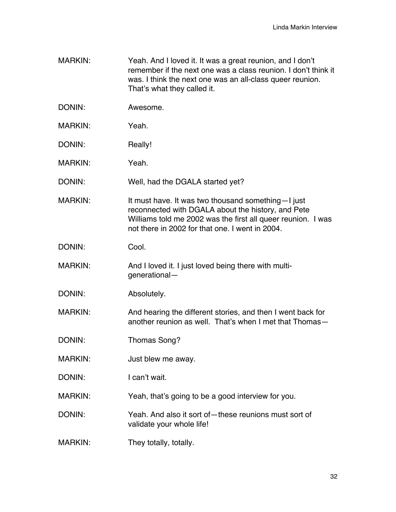- MARKIN: Yeah. And I loved it. It was a great reunion, and I don't remember if the next one was a class reunion. I don't think it was. I think the next one was an all-class queer reunion. That's what they called it.
- DONIN: Awesome.
- MARKIN: Yeah.
- DONIN: Really!
- MARKIN: Yeah.
- DONIN: Well, had the DGALA started yet?
- MARKIN: It must have. It was two thousand something—I just reconnected with DGALA about the history, and Pete Williams told me 2002 was the first all queer reunion. I was not there in 2002 for that one. I went in 2004.
- DONIN: Cool.
- MARKIN: And I loved it. I just loved being there with multigenerational—
- DONIN: Absolutely.
- MARKIN: And hearing the different stories, and then I went back for another reunion as well. That's when I met that Thomas—
- DONIN: Thomas Song?
- MARKIN: Just blew me away.
- DONIN: I can't wait.
- MARKIN: Yeah, that's going to be a good interview for you.
- DONIN: Yeah. And also it sort of—these reunions must sort of validate your whole life!
- MARKIN: They totally, totally.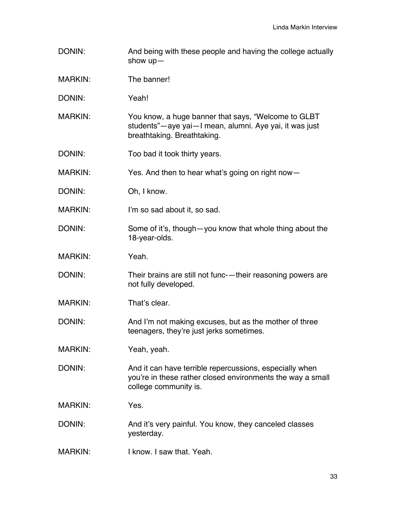- DONIN: And being with these people and having the college actually show up—
- MARKIN: The banner!
- DONIN: Yeah!
- MARKIN: You know, a huge banner that says, "Welcome to GLBT students"—aye yai—I mean, alumni. Aye yai, it was just breathtaking. Breathtaking.
- DONIN: Too bad it took thirty years.
- MARKIN: Yes. And then to hear what's going on right now-
- DONIN: Oh, I know.
- MARKIN: I'm so sad about it, so sad.
- DONIN: Some of it's, though—you know that whole thing about the 18-year-olds.
- MARKIN: Yeah.
- DONIN: Their brains are still not func-—their reasoning powers are not fully developed.
- MARKIN: That's clear.
- DONIN: And I'm not making excuses, but as the mother of three teenagers, they're just jerks sometimes.
- MARKIN: Yeah, yeah.
- DONIN: And it can have terrible repercussions, especially when you're in these rather closed environments the way a small college community is.
- MARKIN: Yes.
- DONIN: And it's very painful. You know, they canceled classes yesterday.
- MARKIN: I know. I saw that. Yeah.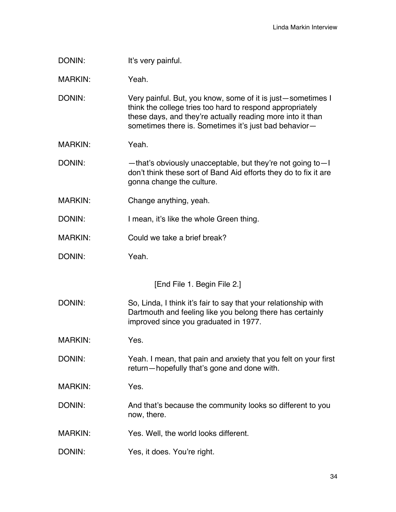| DONIN:                      | It's very painful.                                                                                                                                                                                                                              |  |
|-----------------------------|-------------------------------------------------------------------------------------------------------------------------------------------------------------------------------------------------------------------------------------------------|--|
| <b>MARKIN:</b>              | Yeah.                                                                                                                                                                                                                                           |  |
| DONIN:                      | Very painful. But, you know, some of it is just-sometimes I<br>think the college tries too hard to respond appropriately<br>these days, and they're actually reading more into it than<br>sometimes there is. Sometimes it's just bad behavior- |  |
| <b>MARKIN:</b>              | Yeah.                                                                                                                                                                                                                                           |  |
| DONIN:                      | -that's obviously unacceptable, but they're not going to-I<br>don't think these sort of Band Aid efforts they do to fix it are<br>gonna change the culture.                                                                                     |  |
| <b>MARKIN:</b>              | Change anything, yeah.                                                                                                                                                                                                                          |  |
| DONIN:                      | I mean, it's like the whole Green thing.                                                                                                                                                                                                        |  |
| <b>MARKIN:</b>              | Could we take a brief break?                                                                                                                                                                                                                    |  |
| DONIN:                      | Yeah.                                                                                                                                                                                                                                           |  |
| [End File 1. Begin File 2.] |                                                                                                                                                                                                                                                 |  |
| DONIN:                      | So, Linda, I think it's fair to say that your relationship with<br>Dartmouth and feeling like you belong there has certainly<br>improved since you graduated in 1977.                                                                           |  |
| <b>MARKIN:</b>              | Yes.                                                                                                                                                                                                                                            |  |
| DONIN:                      | Yeah. I mean, that pain and anxiety that you felt on your first<br>return-hopefully that's gone and done with.                                                                                                                                  |  |
| <b>MARKIN:</b>              | Yes.                                                                                                                                                                                                                                            |  |
| DONIN:                      | And that's because the community looks so different to you<br>now, there.                                                                                                                                                                       |  |
|                             |                                                                                                                                                                                                                                                 |  |
| <b>MARKIN:</b>              | Yes. Well, the world looks different.                                                                                                                                                                                                           |  |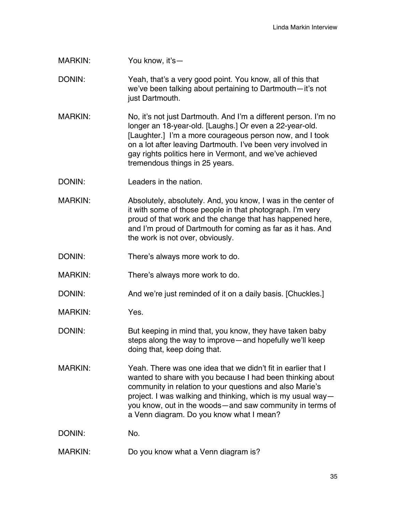MARKIN: You know, it's—

DONIN: Yeah, that's a very good point. You know, all of this that we've been talking about pertaining to Dartmouth—it's not just Dartmouth.

MARKIN: No, it's not just Dartmouth. And I'm a different person. I'm no longer an 18-year-old. [Laughs.] Or even a 22-year-old. [Laughter.] I'm a more courageous person now, and I took on a lot after leaving Dartmouth. I've been very involved in gay rights politics here in Vermont, and we've achieved tremendous things in 25 years.

DONIN: Leaders in the nation

MARKIN: Absolutely, absolutely. And, you know, I was in the center of it with some of those people in that photograph. I'm very proud of that work and the change that has happened here, and I'm proud of Dartmouth for coming as far as it has. And the work is not over, obviously.

- DONIN: There's always more work to do.
- MARKIN: There's always more work to do.
- DONIN: And we're just reminded of it on a daily basis. [Chuckles.]
- MARKIN: Yes.
- DONIN: But keeping in mind that, you know, they have taken baby steps along the way to improve—and hopefully we'll keep doing that, keep doing that.
- MARKIN: Yeah. There was one idea that we didn't fit in earlier that I wanted to share with you because I had been thinking about community in relation to your questions and also Marie's project. I was walking and thinking, which is my usual way you know, out in the woods—and saw community in terms of a Venn diagram. Do you know what I mean?
- DONIN: No.
- MARKIN: Do you know what a Venn diagram is?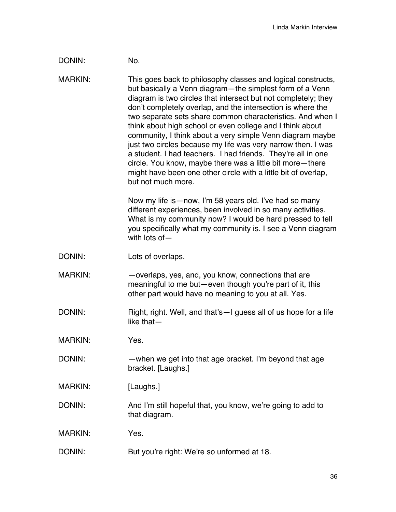## DONIN: No.

MARKIN: This goes back to philosophy classes and logical constructs, but basically a Venn diagram—the simplest form of a Venn diagram is two circles that intersect but not completely; they don't completely overlap, and the intersection is where the two separate sets share common characteristics. And when I think about high school or even college and I think about community, I think about a very simple Venn diagram maybe just two circles because my life was very narrow then. I was a student. I had teachers. I had friends. They're all in one circle. You know, maybe there was a little bit more—there might have been one other circle with a little bit of overlap, but not much more.

> Now my life is—now, I'm 58 years old. I've had so many different experiences, been involved in so many activities. What is my community now? I would be hard pressed to tell you specifically what my community is. I see a Venn diagram with lots of—

- DONIN: Lots of overlaps.
- MARKIN: —overlaps, yes, and, you know, connections that are meaningful to me but—even though you're part of it, this other part would have no meaning to you at all. Yes.
- DONIN: Right, right. Well, and that's—I guess all of us hope for a life like that—

MARKIN: Yes.

- DONIN: —when we get into that age bracket. I'm beyond that age bracket. [Laughs.]
- MARKIN: [Laughs.]
- DONIN: And I'm still hopeful that, you know, we're going to add to that diagram.
- MARKIN: Yes.
- DONIN: But you're right: We're so unformed at 18.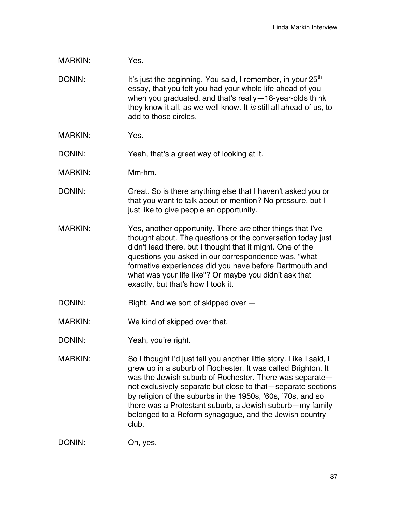- MARKIN: Yes.
- DONIN: It's just the beginning. You said, I remember, in your  $25<sup>th</sup>$ essay, that you felt you had your whole life ahead of you when you graduated, and that's really—18-year-olds think they know it all, as we well know. It *is* still all ahead of us, to add to those circles.
- MARKIN: Yes.

DONIN: Yeah, that's a great way of looking at it.

- MARKIN: Mm-hm.
- DONIN: Great. So is there anything else that I haven't asked you or that you want to talk about or mention? No pressure, but I just like to give people an opportunity.
- MARKIN: Yes, another opportunity. There *are* other things that I've thought about. The questions or the conversation today just didn't lead there, but I thought that it might. One of the questions you asked in our correspondence was, "what formative experiences did you have before Dartmouth and what was your life like"? Or maybe you didn't ask that exactly, but that's how I took it.
- DONIN: Right. And we sort of skipped over -
- MARKIN: We kind of skipped over that.
- DONIN: Yeah, you're right.
- MARKIN: So I thought I'd just tell you another little story. Like I said, I grew up in a suburb of Rochester. It was called Brighton. It was the Jewish suburb of Rochester. There was separate not exclusively separate but close to that—separate sections by religion of the suburbs in the 1950s, '60s, '70s, and so there was a Protestant suburb, a Jewish suburb—my family belonged to a Reform synagogue, and the Jewish country club.

DONIN: Oh, yes.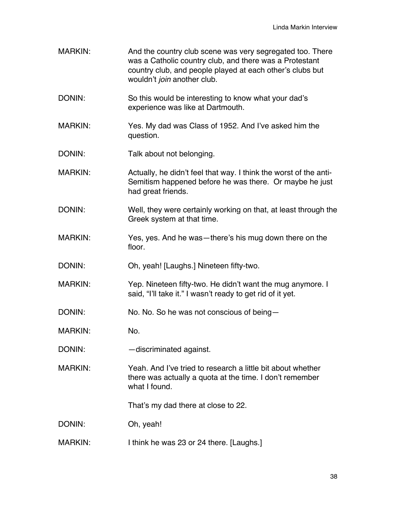MARKIN: And the country club scene was very segregated too. There was a Catholic country club, and there was a Protestant country club, and people played at each other's clubs but wouldn't *join* another club. DONIN: So this would be interesting to know what your dad's experience was like at Dartmouth. MARKIN: Yes. My dad was Class of 1952. And I've asked him the question. DONIN: Talk about not belonging. MARKIN: Actually, he didn't feel that way. I think the worst of the anti-Semitism happened before he was there. Or maybe he just had great friends. DONIN: Well, they were certainly working on that, at least through the Greek system at that time. MARKIN: Yes, yes. And he was—there's his mug down there on the floor. DONIN: Oh, yeah! [Laughs.] Nineteen fifty-two. MARKIN: Yep. Nineteen fifty-two. He didn't want the mug anymore. I said, "I'll take it." I wasn't ready to get rid of it yet. DONIN: No. No. So he was not conscious of being-MARKIN: No. DONIN: — discriminated against. MARKIN: Yeah. And I've tried to research a little bit about whether there was actually a quota at the time. I don't remember what I found. That's my dad there at close to 22. DONIN: Oh, yeah! MARKIN: I think he was 23 or 24 there. [Laughs.]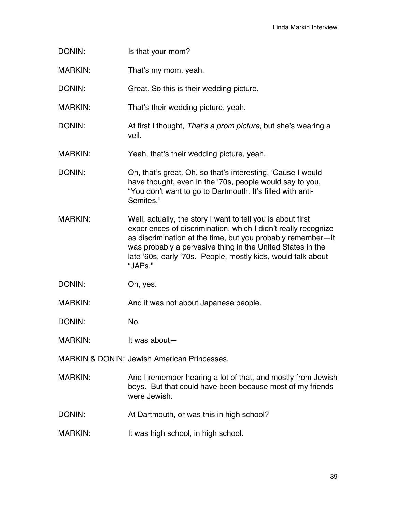- DONIN: Is that your mom?
- MARKIN: That's my mom, yeah.
- DONIN: Great. So this is their wedding picture.
- MARKIN: That's their wedding picture, yeah.
- DONIN: At first I thought, *That's a prom picture*, but she's wearing a veil.
- MARKIN: Yeah, that's their wedding picture, yeah.
- DONIN: Oh, that's great. Oh, so that's interesting. 'Cause I would have thought, even in the '70s, people would say to you, "You don't want to go to Dartmouth. It's filled with anti-Semites."
- MARKIN: Well, actually, the story I want to tell you is about first experiences of discrimination, which I didn't really recognize as discrimination at the time, but you probably remember—it was probably a pervasive thing in the United States in the late '60s, early '70s. People, mostly kids, would talk about "JAPs."
- DONIN: Oh, yes.

MARKIN: And it was not about Japanese people.

DONIN: No.

MARKIN: It was about-

MARKIN & DONIN: Jewish American Princesses.

- MARKIN: And I remember hearing a lot of that, and mostly from Jewish boys. But that could have been because most of my friends were Jewish.
- DONIN: At Dartmouth, or was this in high school?
- MARKIN: It was high school, in high school.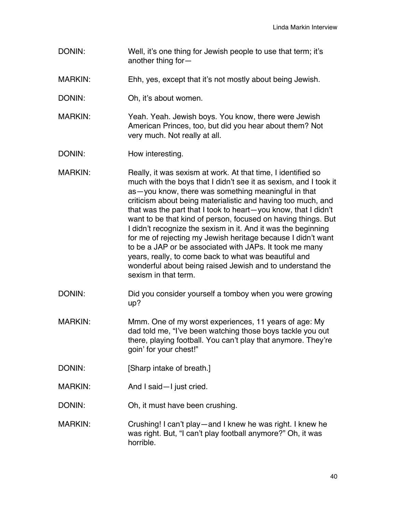- DONIN: Well, it's one thing for Jewish people to use that term; it's another thing for—
- MARKIN: Ehh, yes, except that it's not mostly about being Jewish.
- DONIN: Oh, it's about women.
- MARKIN: Yeah. Yeah. Jewish boys. You know, there were Jewish American Princes, too, but did you hear about them? Not very much. Not really at all.
- DONIN: How interesting.
- MARKIN: Really, it was sexism at work. At that time, I identified so much with the boys that I didn't see it as sexism, and I took it as—you know, there was something meaningful in that criticism about being materialistic and having too much, and that was the part that I took to heart—you know, that I didn't want to be that kind of person, focused on having things. But I didn't recognize the sexism in it. And it was the beginning for me of rejecting my Jewish heritage because I didn't want to be a JAP or be associated with JAPs. It took me many years, really, to come back to what was beautiful and wonderful about being raised Jewish and to understand the sexism in that term.
- DONIN: Did you consider yourself a tomboy when you were growing up?
- MARKIN: Mmm. One of my worst experiences, 11 years of age: My dad told me, "I've been watching those boys tackle you out there, playing football. You can't play that anymore. They're goin' for your chest!"
- DONIN: [Sharp intake of breath.]
- MARKIN: And I said—I just cried.
- DONIN: Oh, it must have been crushing.
- MARKIN: Crushing! I can't play—and I knew he was right. I knew he was right. But, "I can't play football anymore?" Oh, it was horrible.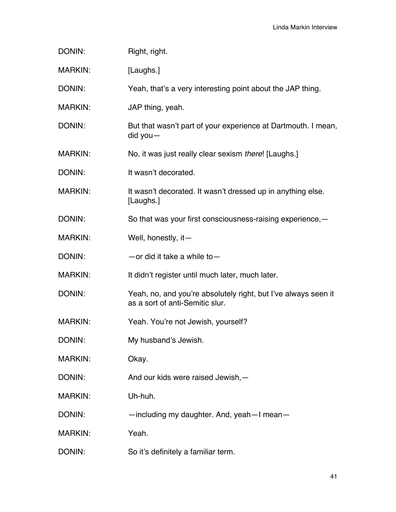| DONIN:         | Right, right.                                                                                     |
|----------------|---------------------------------------------------------------------------------------------------|
| <b>MARKIN:</b> | [Laughs.]                                                                                         |
| DONIN:         | Yeah, that's a very interesting point about the JAP thing.                                        |
| <b>MARKIN:</b> | JAP thing, yeah.                                                                                  |
| DONIN:         | But that wasn't part of your experience at Dartmouth. I mean,<br>$did you -$                      |
| <b>MARKIN:</b> | No, it was just really clear sexism there! [Laughs.]                                              |
| DONIN:         | It wasn't decorated.                                                                              |
| <b>MARKIN:</b> | It wasn't decorated. It wasn't dressed up in anything else.<br>[Laughs.]                          |
| DONIN:         | So that was your first consciousness-raising experience, -                                        |
| <b>MARKIN:</b> | Well, honestly, it-                                                                               |
| DONIN:         | $-$ or did it take a while to $-$                                                                 |
| <b>MARKIN:</b> | It didn't register until much later, much later.                                                  |
| DONIN:         | Yeah, no, and you're absolutely right, but I've always seen it<br>as a sort of anti-Semitic slur. |
| <b>MARKIN:</b> | Yeah. You're not Jewish, yourself?                                                                |
| DONIN:         | My husband's Jewish.                                                                              |
| <b>MARKIN:</b> | Okay.                                                                                             |
| DONIN:         | And our kids were raised Jewish, -                                                                |
| <b>MARKIN:</b> | Uh-huh.                                                                                           |
| DONIN:         | -including my daughter. And, yeah-I mean-                                                         |
| <b>MARKIN:</b> | Yeah.                                                                                             |
| DONIN:         | So it's definitely a familiar term.                                                               |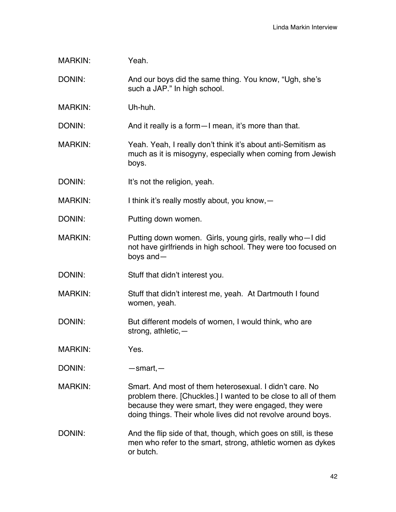| <b>MARKIN:</b> | Yeah.                                                                                                                                                                                                                                              |
|----------------|----------------------------------------------------------------------------------------------------------------------------------------------------------------------------------------------------------------------------------------------------|
| DONIN:         | And our boys did the same thing. You know, "Ugh, she's<br>such a JAP." In high school.                                                                                                                                                             |
| <b>MARKIN:</b> | Uh-huh.                                                                                                                                                                                                                                            |
| DONIN:         | And it really is a form - I mean, it's more than that.                                                                                                                                                                                             |
| <b>MARKIN:</b> | Yeah. Yeah, I really don't think it's about anti-Semitism as<br>much as it is misogyny, especially when coming from Jewish<br>boys.                                                                                                                |
| DONIN:         | It's not the religion, yeah.                                                                                                                                                                                                                       |
| <b>MARKIN:</b> | I think it's really mostly about, you know, -                                                                                                                                                                                                      |
| DONIN:         | Putting down women.                                                                                                                                                                                                                                |
| <b>MARKIN:</b> | Putting down women. Girls, young girls, really who-I did<br>not have girlfriends in high school. They were too focused on<br>boys and $-$                                                                                                          |
| DONIN:         | Stuff that didn't interest you.                                                                                                                                                                                                                    |
| <b>MARKIN:</b> | Stuff that didn't interest me, yeah. At Dartmouth I found<br>women, yeah.                                                                                                                                                                          |
| DONIN:         | But different models of women, I would think, who are<br>strong, athletic, $-$                                                                                                                                                                     |
| <b>MARKIN:</b> | Yes.                                                                                                                                                                                                                                               |
| DONIN:         | $-$ smart, $-$                                                                                                                                                                                                                                     |
| <b>MARKIN:</b> | Smart. And most of them heterosexual. I didn't care. No<br>problem there. [Chuckles.] I wanted to be close to all of them<br>because they were smart, they were engaged, they were<br>doing things. Their whole lives did not revolve around boys. |
| DONIN:         | And the flip side of that, though, which goes on still, is these<br>men who refer to the smart, strong, athletic women as dykes<br>or butch.                                                                                                       |